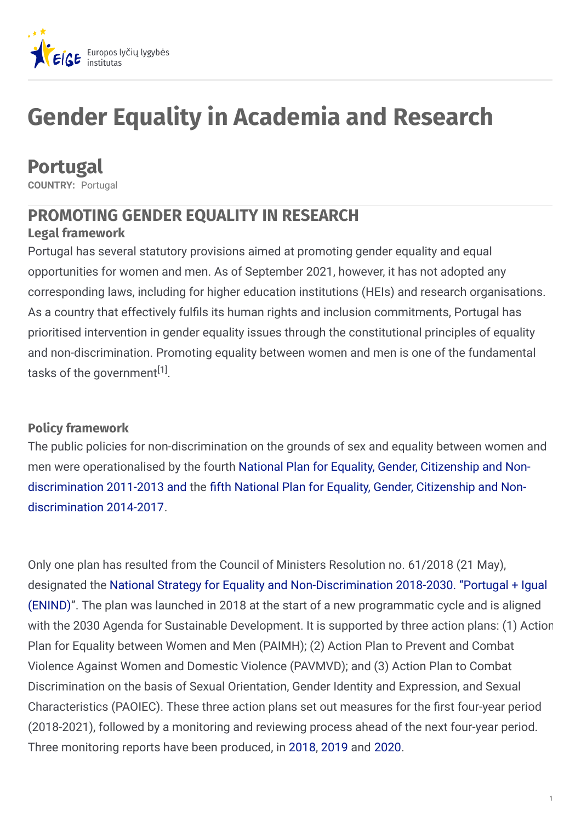

# **Gender Equality in Academia and Research**

## **Portugal**

**COUNTRY:** Portugal

### **PROMOTING GENDER EQUALITY IN RESEARCH**

### **Legal framework**

Portugal has several statutory provisions aimed at promoting gender equality and equal opportunities for women and men. As of September 2021, however, it has not adopted any corresponding laws, including for higher education institutions (HEIs) and research organisations. As a country that effectively fulfils its human rights and inclusion commitments, Portugal has prioritised intervention in gender equality issues through the constitutional principles of equality and non-discrimination. Promoting equality between women and men is one of the fundamental tasks of the government<sup>[1]</sup>.

### **Policy framework**

The public policies for non-discrimination on the grounds of sex and equality between women and men were [operationalised](https://www.cig.gov.pt/wp-content/uploads/2014/02/2011_5_RCM.pdf) by the fourth National Plan for Equality, Gender, Citizenship and Non[discrimination](https://www.cig.gov.pt/wp-content/uploads/2014/01/V_PL_IGUALD_GENERO.pdf) 2011-2013 and the fifth National Plan for Equality, Gender, Citizenship and Nondiscrimination 2014-2017.

Only one plan has resulted from the Council of Ministers Resolution no. 61/2018 (21 May), designated the National Strategy for Equality and [Non-Discrimination](https://www.cig.gov.pt/wp-content/uploads/2018/07/Resol_Cons_-Ministros_61_2018.pdf) 2018-2030. "Portugal + Igual (ENIND)". The plan was launched in 2018 at the start of a new programmatic cycle and is aligned with the 2030 Agenda for Sustainable Development. It is supported by three action plans: (1) Action Plan for Equality between Women and Men (PAIMH); (2) Action Plan to Prevent and Combat Violence Against Women and Domestic Violence (PAVMVD); and (3) Action Plan to Combat Discrimination on the basis of Sexual Orientation, Gender Identity and Expression, and Sexual Characteristics (PAOIEC). These three action plans set out measures for the first four-year period (2018-2021), followed by a monitoring and reviewing process ahead of the next four-year period. Three monitoring reports have been produced, in [2018](https://www.cig.gov.pt/wp-content/uploads/2020/12/ENIND-Relatorio-2018.pdf), [2019](https://www.cig.gov.pt/wp-content/uploads/2020/12/Relatorio-Intercalar-de-Monitorizacao-2019.pdf) and [2020](https://www.cig.gov.pt/wp-content/uploads/2021/07/Relatorio-Intercalar-de-Monitorizacao-2020-PAOIEC.pdf).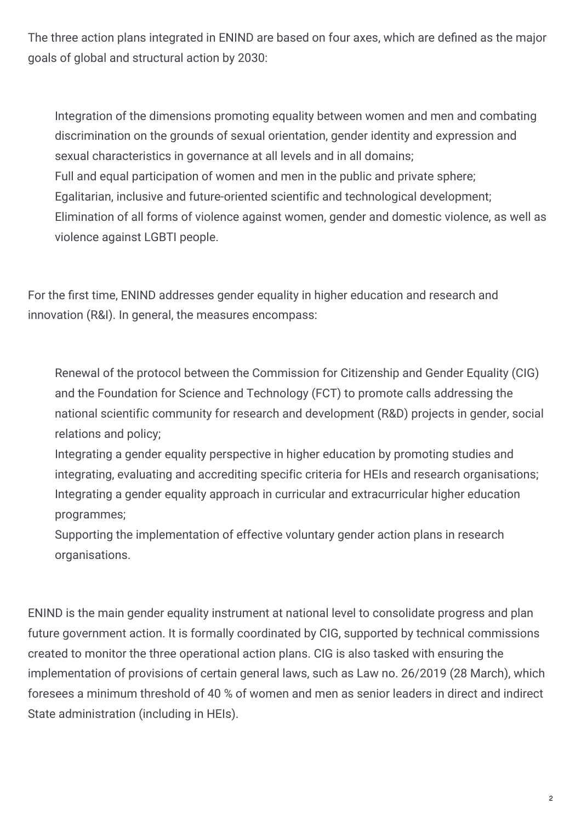The three action plans integrated in ENIND are based on four axes, which are defined as the major goals of global and structural action by 2030:

Integration of the dimensions promoting equality between women and men and combating discrimination on the grounds of sexual orientation, gender identity and expression and sexual characteristics in governance at all levels and in all domains; Full and equal participation of women and men in the public and private sphere; Egalitarian, inclusive and future-oriented scientific and technological development; Elimination of all forms of violence against women, gender and domestic violence, as well as violence against LGBTI people.

For the first time, ENIND addresses gender equality in higher education and research and innovation (R&I). In general, the measures encompass:

Renewal of the protocol between the Commission for Citizenship and Gender Equality (CIG) and the Foundation for Science and Technology (FCT) to promote calls addressing the national scientific community for research and development (R&D) projects in gender, social relations and policy;

Integrating a gender equality perspective in higher education by promoting studies and integrating, evaluating and accrediting specific criteria for HEIs and research organisations; Integrating a gender equality approach in curricular and extracurricular higher education programmes;

Supporting the implementation of effective voluntary gender action plans in research organisations.

ENIND is the main gender equality instrument at national level to consolidate progress and plan future government action. It is formally coordinated by CIG, supported by technical commissions created to monitor the three operational action plans. CIG is also tasked with ensuring the implementation of provisions of certain general laws, such as Law no. 26/2019 (28 March), which foresees a minimum threshold of 40 % of women and men as senior leaders in direct and indirect State administration (including in HEIs).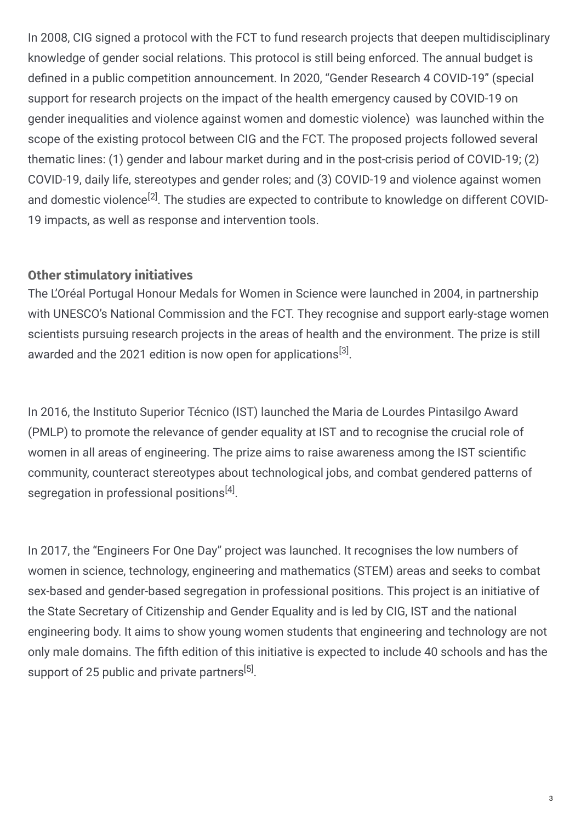In 2008, CIG signed a protocol with the FCT to fund research projects that deepen multidisciplinary knowledge of gender social relations. This protocol is still being enforced. The annual budget is defined in a public competition announcement. In 2020, "Gender Research 4 COVID-19" (special support for research projects on the impact of the health emergency caused by COVID-19 on gender inequalities and violence against women and domestic violence) was launched within the scope of the existing protocol between CIG and the FCT. The proposed projects followed several thematic lines: (1) gender and labour market during and in the post-crisis period of COVID-19; (2) COVID-19, daily life, stereotypes and gender roles; and (3) COVID-19 and violence against women and domestic violence<sup>[2]</sup>. The studies are expected to contribute to knowledge on different COVID-19 impacts, as well as response and intervention tools.

### **Other stimulatory initiatives**

The L'Oréal Portugal Honour Medals for Women in Science were launched in 2004, in partnership with UNESCO's National Commission and the FCT. They recognise and support early-stage women scientists pursuing research projects in the areas of health and the environment. The prize is still awarded and the 2021 edition is now open for applications $^{[3]}.$ 

In 2016, the Instituto Superior Técnico (IST) launched the Maria de Lourdes Pintasilgo Award (PMLP) to promote the relevance of gender equality at IST and to recognise the crucial role of women in all areas of engineering. The prize aims to raise awareness among the IST scientific community, counteract stereotypes about technological jobs, and combat gendered patterns of segregation in professional positions<sup>[4]</sup>.

In 2017, the "Engineers For One Day" project was launched. It recognises the low numbers of women in science, technology, engineering and mathematics (STEM) areas and seeks to combat sex-based and gender-based segregation in professional positions. This project is an initiative of the State Secretary of Citizenship and Gender Equality and is led by CIG, IST and the national engineering body. It aims to show young women students that engineering and technology are not only male domains. The fifth edition of this initiative is expected to include 40 schools and has the support of 25 public and private partners<sup>[5]</sup>.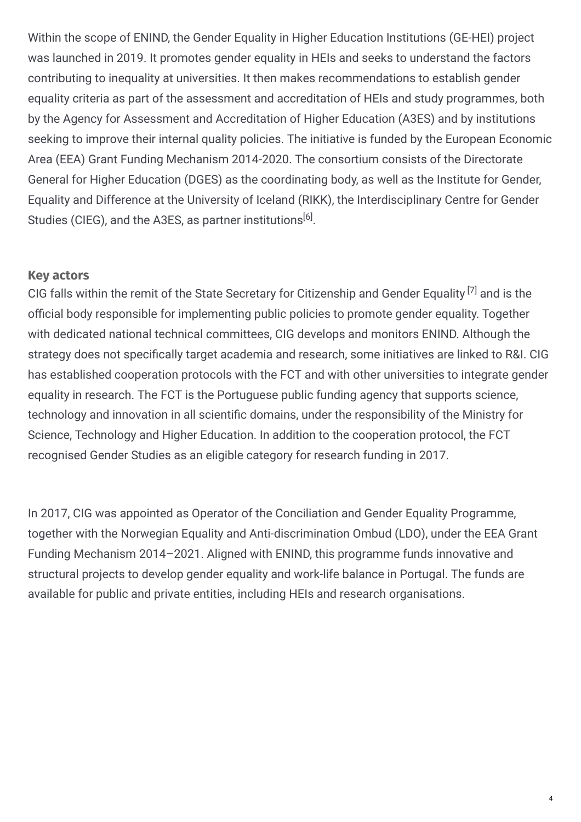Within the scope of ENIND, the Gender Equality in Higher Education Institutions (GE-HEI) project was launched in 2019. It promotes gender equality in HEIs and seeks to understand the factors contributing to inequality at universities. It then makes recommendations to establish gender equality criteria as part of the assessment and accreditation of HEIs and study programmes, both by the Agency for Assessment and Accreditation of Higher Education (A3ES) and by institutions seeking to improve their internal quality policies. The initiative is funded by the European Economic Area (EEA) Grant Funding Mechanism 2014-2020. The consortium consists of the Directorate General for Higher Education (DGES) as the coordinating body, as well as the Institute for Gender, Equality and Difference at the University of Iceland (RIKK), the Interdisciplinary Centre for Gender Studies (CIEG), and the A3ES, as partner institutions<sup>[6]</sup>.

### **Key actors**

CIG falls within the remit of the State Secretary for Citizenship and Gender Equality  $^{[7]}$  and is the official body responsible for implementing public policies to promote gender equality. Together with dedicated national technical committees, CIG develops and monitors ENIND. Although the strategy does not specifically target academia and research, some initiatives are linked to R&I. CIG has established cooperation protocols with the FCT and with other universities to integrate gender equality in research. The FCT is the Portuguese public funding agency that supports science, technology and innovation in all scientific domains, under the responsibility of the Ministry for Science, Technology and Higher Education. In addition to the cooperation protocol, the FCT recognised Gender Studies as an eligible category for research funding in 2017.

In 2017, CIG was appointed as Operator of the Conciliation and Gender Equality Programme, together with the Norwegian Equality and Anti-discrimination Ombud (LDO), under the EEA Grant Funding Mechanism 2014–2021. Aligned with ENIND, this programme funds innovative and structural projects to develop gender equality and work-life balance in Portugal. The funds are available for public and private entities, including HEIs and research organisations.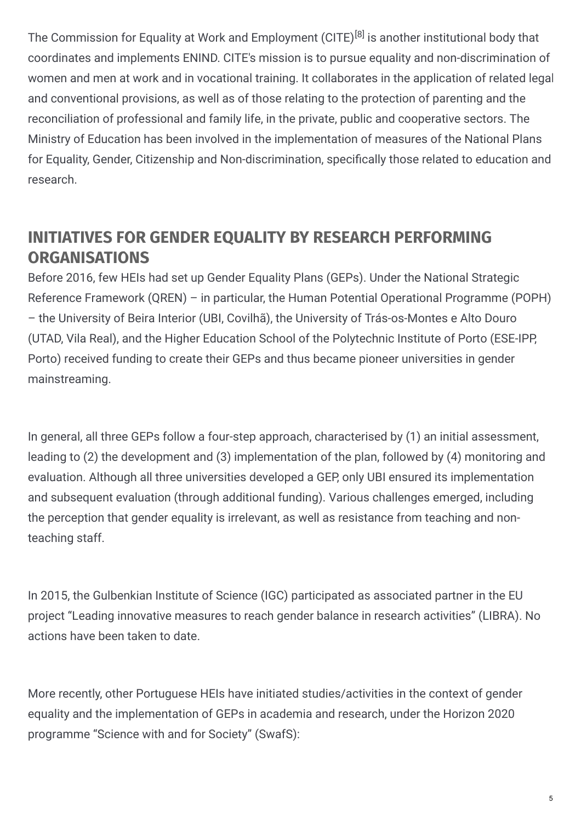The Commission for Equality at Work and Employment (CITE)<sup>[8]</sup> is another institutional body that coordinates and implements ENIND. CITE's mission is to pursue equality and non-discrimination of women and men at work and in vocational training. It collaborates in the application of related legal and conventional provisions, as well as of those relating to the protection of parenting and the reconciliation of professional and family life, in the private, public and cooperative sectors. The Ministry of Education has been involved in the implementation of measures of the National Plans for Equality, Gender, Citizenship and Non-discrimination, specifically those related to education and research.

### **INITIATIVES FOR GENDER EQUALITY BY RESEARCH PERFORMING ORGANISATIONS**

Before 2016, few HEIs had set up Gender Equality Plans (GEPs). Under the National Strategic Reference Framework (QREN) – in particular, the Human Potential Operational Programme (POPH) – the University of Beira Interior (UBI, Covilhã), the University of Trás-os-Montes e Alto Douro (UTAD, Vila Real), and the Higher Education School of the Polytechnic Institute of Porto (ESE-IPP, Porto) received funding to create their GEPs and thus became pioneer universities in gender mainstreaming.

In general, all three GEPs follow a four-step approach, characterised by (1) an initial assessment, leading to (2) the development and (3) implementation of the plan, followed by (4) monitoring and evaluation. Although all three universities developed a GEP, only UBI ensured its implementation and subsequent evaluation (through additional funding). Various challenges emerged, including the perception that gender equality is irrelevant, as well as resistance from teaching and nonteaching staff.

In 2015, the Gulbenkian Institute of Science (IGC) participated as associated partner in the EU project "Leading innovative measures to reach gender balance in research activities" (LIBRA). No actions have been taken to date.

More recently, other Portuguese HEIs have initiated studies/activities in the context of gender equality and the implementation of GEPs in academia and research, under the Horizon 2020 programme "Science with and for Society" (SwafS):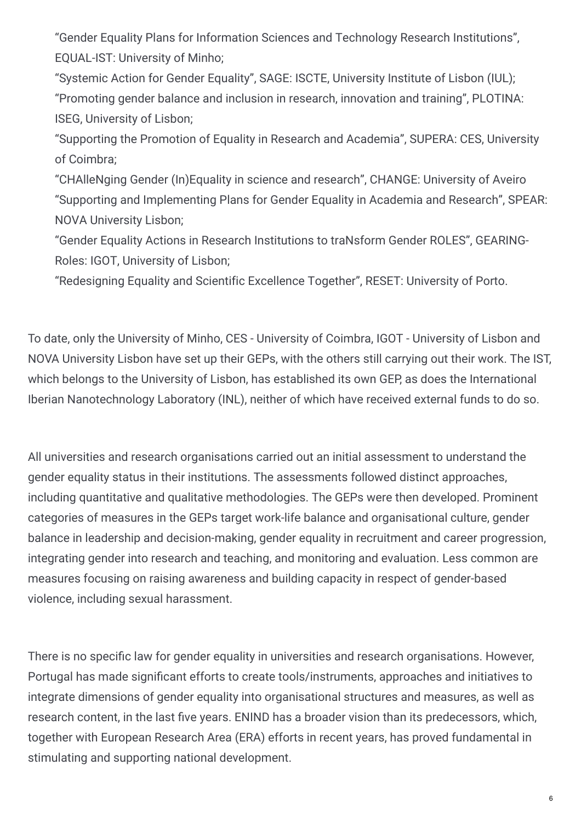"Gender Equality Plans for Information Sciences and Technology Research Institutions", EQUAL-IST: University of Minho;

"Systemic Action for Gender Equality", SAGE: ISCTE, University Institute of Lisbon (IUL); "Promoting gender balance and inclusion in research, innovation and training", PLOTINA: ISEG, University of Lisbon;

"Supporting the Promotion of Equality in Research and Academia", SUPERA: CES, University of Coimbra;

"CHAlleNging Gender (In)Equality in science and research", CHANGE: University of Aveiro "Supporting and Implementing Plans for Gender Equality in Academia and Research", SPEAR: NOVA University Lisbon;

"Gender Equality Actions in Research Institutions to traNsform Gender ROLES", GEARING-Roles: IGOT, University of Lisbon;

"Redesigning Equality and Scientific Excellence Together", RESET: University of Porto.

To date, only the University of Minho, CES - University of Coimbra, IGOT - University of Lisbon and NOVA University Lisbon have set up their GEPs, with the others still carrying out their work. The IST, which belongs to the University of Lisbon, has established its own GEP, as does the International Iberian Nanotechnology Laboratory (INL), neither of which have received external funds to do so.

All universities and research organisations carried out an initial assessment to understand the gender equality status in their institutions. The assessments followed distinct approaches, including quantitative and qualitative methodologies. The GEPs were then developed. Prominent categories of measures in the GEPs target work-life balance and organisational culture, gender balance in leadership and decision-making, gender equality in recruitment and career progression, integrating gender into research and teaching, and monitoring and evaluation. Less common are measures focusing on raising awareness and building capacity in respect of gender-based violence, including sexual harassment.

There is no specific law for gender equality in universities and research organisations. However, Portugal has made significant efforts to create tools/instruments, approaches and initiatives to integrate dimensions of gender equality into organisational structures and measures, as well as research content, in the last five years. ENIND has a broader vision than its predecessors, which, together with European Research Area (ERA) efforts in recent years, has proved fundamental in stimulating and supporting national development.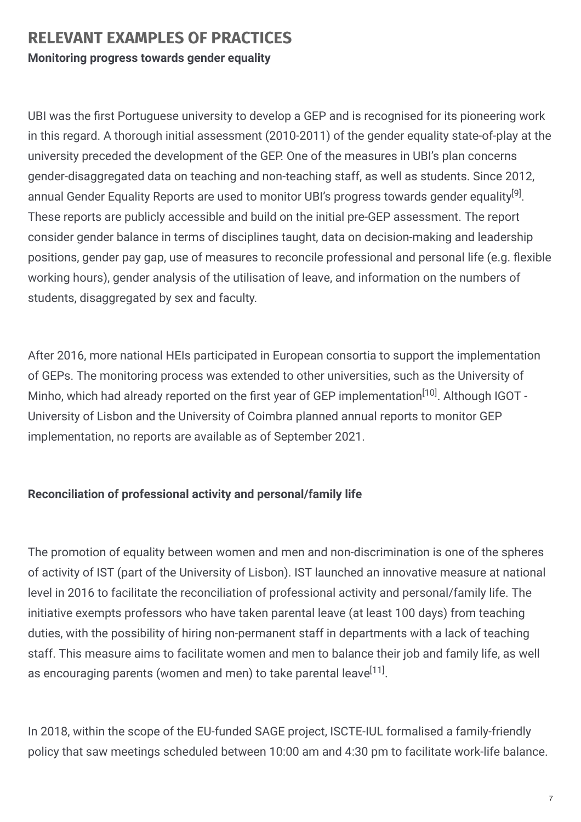### **RELEVANT EXAMPLES OF PRACTICES Monitoring progress towards gender equality**

UBI was the first Portuguese university to develop a GEP and is recognised for its pioneering work in this regard. A thorough initial assessment (2010-2011) of the gender equality state-of-play at the university preceded the development of the GEP. One of the measures in UBI's plan concerns gender-disaggregated data on teaching and non-teaching staff, as well as students. Since 2012, annual Gender Equality Reports are used to monitor UBI's progress towards gender equality<sup>[9]</sup>. These reports are publicly accessible and build on the initial pre-GEP assessment. The report consider gender balance in terms of disciplines taught, data on decision-making and leadership positions, gender pay gap, use of measures to reconcile professional and personal life (e.g. flexible working hours), gender analysis of the utilisation of leave, and information on the numbers of students, disaggregated by sex and faculty.

After 2016, more national HEIs participated in European consortia to support the implementation of GEPs. The monitoring process was extended to other universities, such as the University of Minho, which had already reported on the first year of GEP implementation<sup>[10]</sup>. Although IGOT -University of Lisbon and the University of Coimbra planned annual reports to monitor GEP implementation, no reports are available as of September 2021.

### **Reconciliation of professional activity and personal/family life**

The promotion of equality between women and men and non-discrimination is one of the spheres of activity of IST (part of the University of Lisbon). IST launched an innovative measure at national level in 2016 to facilitate the reconciliation of professional activity and personal/family life. The initiative exempts professors who have taken parental leave (at least 100 days) from teaching duties, with the possibility of hiring non-permanent staff in departments with a lack of teaching staff. This measure aims to facilitate women and men to balance their job and family life, as well as encouraging parents (women and men) to take parental leave<sup>[11]</sup>.

In 2018, within the scope of the EU-funded SAGE project, ISCTE-IUL formalised a family-friendly policy that saw meetings scheduled between 10:00 am and 4:30 pm to facilitate work-life balance.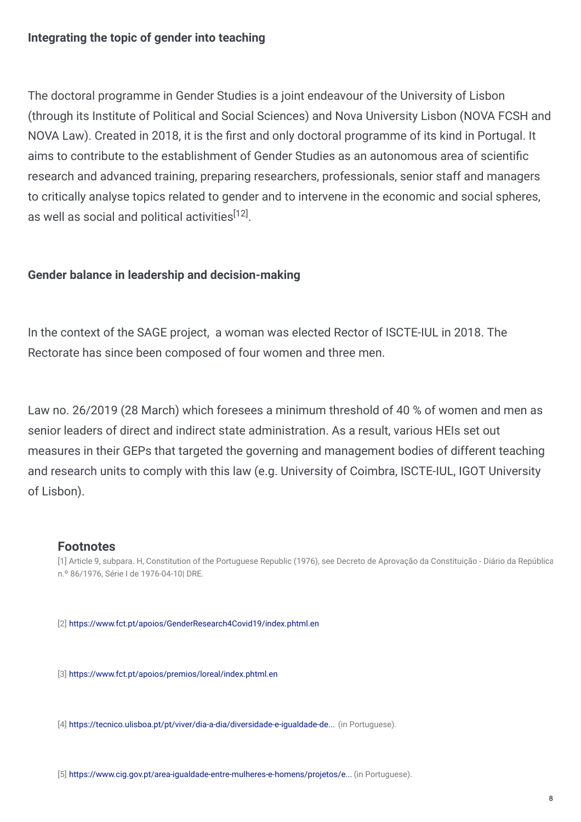#### **Integrating the topic of gender into teaching**

The doctoral programme in Gender Studies is a joint endeavour of the University of Lisbon (through its Institute of Political and Social Sciences) and Nova University Lisbon (NOVA FCSH and NOVA Law). Created in 2018, it is the first and only doctoral programme of its kind in Portugal. It aims to contribute to the establishment of Gender Studies as an autonomous area of scientific research and advanced training, preparing researchers, professionals, senior staff and managers to critically analyse topics related to gender and to intervene in the economic and social spheres, as well as social and political activities $^{[12]}.$ 

#### **Gender balance in leadership and decision-making**

In the context of the SAGE project, a woman was elected Rector of ISCTE-IUL in 2018. The Rectorate has since been composed of four women and three men.

Law no. 26/2019 (28 March) which foresees a minimum threshold of 40 % of women and men as senior leaders of direct and indirect state administration. As a result, various HEIs set out measures in their GEPs that targeted the governing and management bodies of different teaching and research units to comply with this law (e.g. University of Coimbra, ISCTE-IUL, IGOT University of Lisbon).

#### **Footnotes**

[1] Article 9, subpara. H, Constitution of the Portuguese Republic (1976), see Decreto de Aprovação da Constituição - Diário da República n.º 86/1976, Série I de 1976-04-10| DRE.

[2] <https://www.fct.pt/apoios/GenderResearch4Covid19/index.phtml.en>

[3] <https://www.fct.pt/apoios/premios/loreal/index.phtml.en>

[4] [https://tecnico.ulisboa.pt/pt/viver/dia-a-dia/diversidade-e-igualdade-de...](https://tecnico.ulisboa.pt/pt/viver/dia-a-dia/diversidade-e-igualdade-de-genero/premio-maria-de-lourdes-pintasilgo/) (in Portuguese).

[5] [https://www.cig.gov.pt/area-igualdade-entre-mulheres-e-homens/projetos/e...](https://www.cig.gov.pt/area-igualdade-entre-mulheres-e-homens/projetos/engenheiras-por-um-dia/) (in Portuguese).